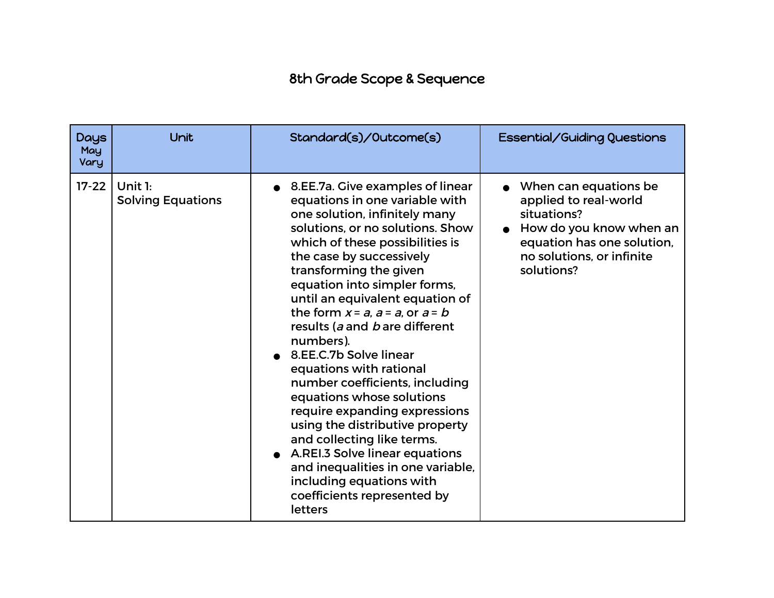## 8th Grade Scope & Sequence

| <b>Days</b><br>May<br>Vary | Unit                                  | Standard(s)/Outcome(s)                                                                                                                                                                                                                                                                                                                                                                                                                                                                                                                                                                                                                                                                                                                                             | Essential/Guiding Questions                                                                                                                                       |
|----------------------------|---------------------------------------|--------------------------------------------------------------------------------------------------------------------------------------------------------------------------------------------------------------------------------------------------------------------------------------------------------------------------------------------------------------------------------------------------------------------------------------------------------------------------------------------------------------------------------------------------------------------------------------------------------------------------------------------------------------------------------------------------------------------------------------------------------------------|-------------------------------------------------------------------------------------------------------------------------------------------------------------------|
| $17 - 22$                  | Unit $1:$<br><b>Solving Equations</b> | 8.EE.7a. Give examples of linear<br>equations in one variable with<br>one solution, infinitely many<br>solutions, or no solutions. Show<br>which of these possibilities is<br>the case by successively<br>transforming the given<br>equation into simpler forms,<br>until an equivalent equation of<br>the form $x = a$ , $a = a$ , or $a = b$<br>results (a and b are different<br>numbers).<br>• 8.EE.C.7b Solve linear<br>equations with rational<br>number coefficients, including<br>equations whose solutions<br>require expanding expressions<br>using the distributive property<br>and collecting like terms.<br>A.REI.3 Solve linear equations<br>and inequalities in one variable,<br>including equations with<br>coefficients represented by<br>letters | When can equations be<br>applied to real-world<br>situations?<br>How do you know when an<br>equation has one solution,<br>no solutions, or infinite<br>solutions? |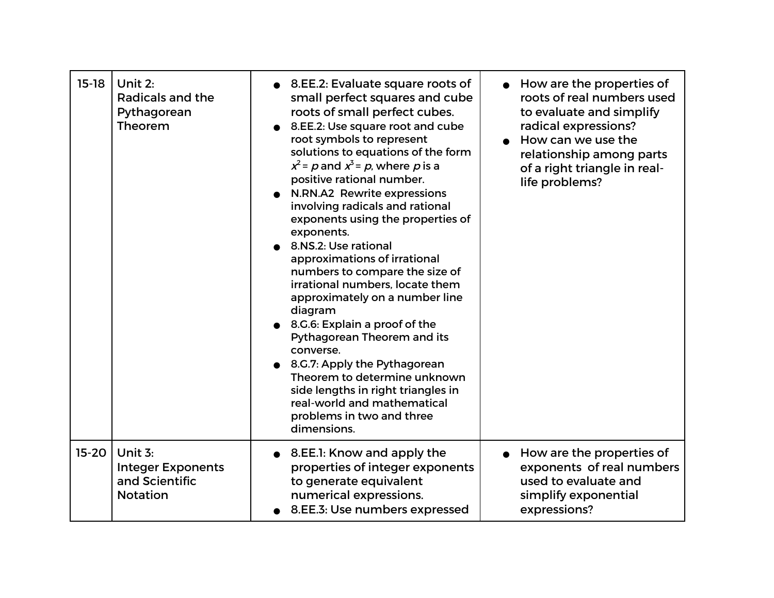| $15-18$   | Unit 2:<br>Radicals and the<br>Pythagorean<br>Theorem                      | 8.EE.2: Evaluate square roots of<br>small perfect squares and cube<br>roots of small perfect cubes.<br>8.EE.2: Use square root and cube<br>root symbols to represent<br>solutions to equations of the form<br>$x^2$ = p and $x^3$ = p, where p is a<br>positive rational number.<br>N.RN.A2 Rewrite expressions<br>involving radicals and rational<br>exponents using the properties of<br>exponents.<br>8.NS.2: Use rational<br>approximations of irrational<br>numbers to compare the size of<br>irrational numbers, locate them<br>approximately on a number line<br>diagram<br>• 8.G.6: Explain a proof of the<br>Pythagorean Theorem and its<br>converse.<br>8.G.7: Apply the Pythagorean<br>Theorem to determine unknown<br>side lengths in right triangles in<br>real-world and mathematical<br>problems in two and three<br>dimensions. | How are the properties of<br>roots of real numbers used<br>to evaluate and simplify<br>radical expressions?<br>How can we use the<br>relationship among parts<br>of a right triangle in real-<br>life problems? |
|-----------|----------------------------------------------------------------------------|-------------------------------------------------------------------------------------------------------------------------------------------------------------------------------------------------------------------------------------------------------------------------------------------------------------------------------------------------------------------------------------------------------------------------------------------------------------------------------------------------------------------------------------------------------------------------------------------------------------------------------------------------------------------------------------------------------------------------------------------------------------------------------------------------------------------------------------------------|-----------------------------------------------------------------------------------------------------------------------------------------------------------------------------------------------------------------|
| $15 - 20$ | Unit $3:$<br><b>Integer Exponents</b><br>and Scientific<br><b>Notation</b> | 8. E. 1: Know and apply the<br>properties of integer exponents<br>to generate equivalent<br>numerical expressions.<br>8.EE.3: Use numbers expressed                                                                                                                                                                                                                                                                                                                                                                                                                                                                                                                                                                                                                                                                                             | • How are the properties of<br>exponents of real numbers<br>used to evaluate and<br>simplify exponential<br>expressions?                                                                                        |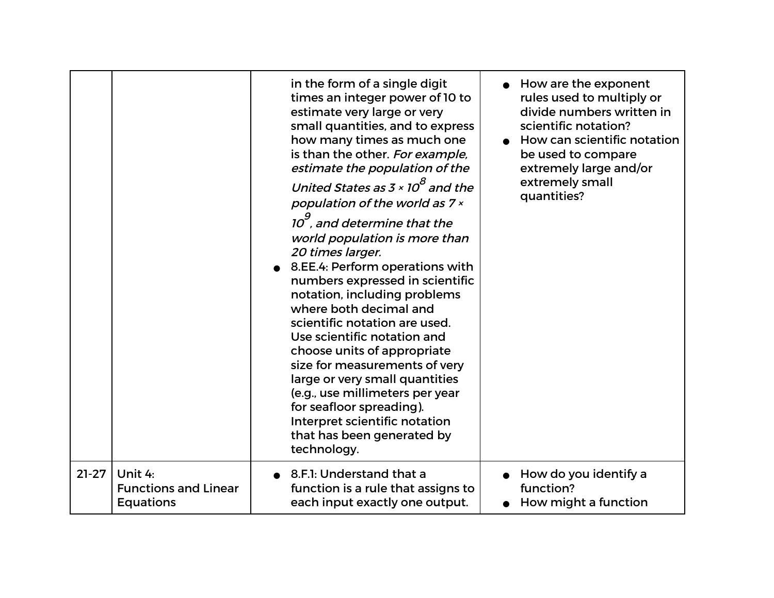|         |                             | in the form of a single digit<br>times an integer power of 10 to<br>estimate very large or very<br>small quantities, and to express<br>how many times as much one<br>is than the other. For example,<br>estimate the population of the<br>United States as 3 $\times$ 10 $^8$ and the<br>population of the world as 7 x<br>$10^9$ , and determine that the<br>world population is more than<br>20 times larger.<br>8.EE.4: Perform operations with<br>numbers expressed in scientific<br>notation, including problems<br>where both decimal and<br>scientific notation are used.<br>Use scientific notation and<br>choose units of appropriate<br>size for measurements of very<br>large or very small quantities<br>(e.g., use millimeters per year<br>for seafloor spreading).<br>Interpret scientific notation<br>that has been generated by<br>technology. | How are the exponent<br>rules used to multiply or<br>divide numbers written in<br>scientific notation?<br>How can scientific notation<br>be used to compare<br>extremely large and/or<br>extremely small<br>quantities? |
|---------|-----------------------------|----------------------------------------------------------------------------------------------------------------------------------------------------------------------------------------------------------------------------------------------------------------------------------------------------------------------------------------------------------------------------------------------------------------------------------------------------------------------------------------------------------------------------------------------------------------------------------------------------------------------------------------------------------------------------------------------------------------------------------------------------------------------------------------------------------------------------------------------------------------|-------------------------------------------------------------------------------------------------------------------------------------------------------------------------------------------------------------------------|
| $21-27$ | Unit 4:                     | 8.F.I: Understand that a                                                                                                                                                                                                                                                                                                                                                                                                                                                                                                                                                                                                                                                                                                                                                                                                                                       | How do you identify a                                                                                                                                                                                                   |
|         | <b>Functions and Linear</b> | function is a rule that assigns to                                                                                                                                                                                                                                                                                                                                                                                                                                                                                                                                                                                                                                                                                                                                                                                                                             | function?                                                                                                                                                                                                               |
|         | <b>Equations</b>            | each input exactly one output.                                                                                                                                                                                                                                                                                                                                                                                                                                                                                                                                                                                                                                                                                                                                                                                                                                 | How might a function                                                                                                                                                                                                    |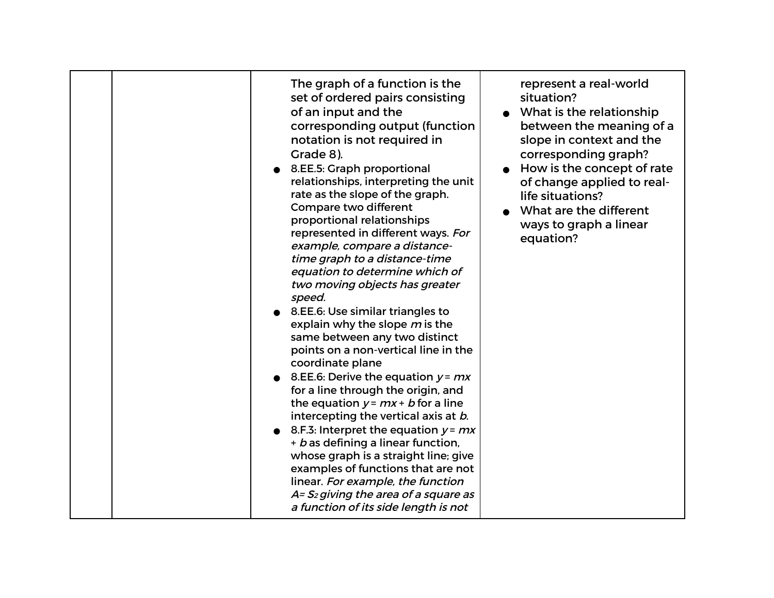| The graph of a function is the<br>set of ordered pairs consisting<br>of an input and the<br>corresponding output (function<br>notation is not required in<br>Grade 8).<br>8.EE.5: Graph proportional<br>relationships, interpreting the unit<br>rate as the slope of the graph.<br>Compare two different<br>proportional relationships<br>represented in different ways. For<br>example, compare a distance-<br>time graph to a distance-time<br>equation to determine which of<br>two moving objects has greater<br>speed.<br>• 8.EE.6: Use similar triangles to<br>explain why the slope m is the<br>same between any two distinct<br>points on a non-vertical line in the<br>coordinate plane<br>8.EE.6: Derive the equation $y = mx$<br>for a line through the origin, and<br>the equation $y = mx + b$ for a line<br>intercepting the vertical axis at b.<br>8.F.3: Interpret the equation $y = mx$<br>+ b as defining a linear function,<br>whose graph is a straight line; give<br>examples of functions that are not<br>linear. For example, the function<br>A= S <sub>2</sub> giving the area of a square as<br>a function of its side length is not | represent a real-world<br>situation?<br>What is the relationship<br>between the meaning of a<br>slope in context and the<br>corresponding graph?<br>How is the concept of rate<br>of change applied to real-<br>life situations?<br>What are the different<br>ways to graph a linear<br>equation? |
|---------------------------------------------------------------------------------------------------------------------------------------------------------------------------------------------------------------------------------------------------------------------------------------------------------------------------------------------------------------------------------------------------------------------------------------------------------------------------------------------------------------------------------------------------------------------------------------------------------------------------------------------------------------------------------------------------------------------------------------------------------------------------------------------------------------------------------------------------------------------------------------------------------------------------------------------------------------------------------------------------------------------------------------------------------------------------------------------------------------------------------------------------------------|---------------------------------------------------------------------------------------------------------------------------------------------------------------------------------------------------------------------------------------------------------------------------------------------------|
|---------------------------------------------------------------------------------------------------------------------------------------------------------------------------------------------------------------------------------------------------------------------------------------------------------------------------------------------------------------------------------------------------------------------------------------------------------------------------------------------------------------------------------------------------------------------------------------------------------------------------------------------------------------------------------------------------------------------------------------------------------------------------------------------------------------------------------------------------------------------------------------------------------------------------------------------------------------------------------------------------------------------------------------------------------------------------------------------------------------------------------------------------------------|---------------------------------------------------------------------------------------------------------------------------------------------------------------------------------------------------------------------------------------------------------------------------------------------------|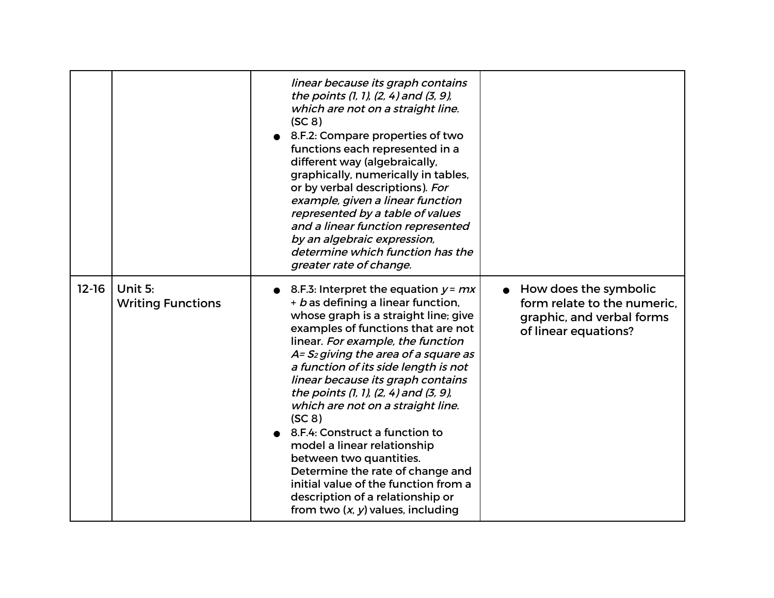|           |                                     | linear because its graph contains<br>the points (1, 1), (2, 4) and (3, 9),<br>which are not on a straight line.<br>(SC 8)<br>8.F.2: Compare properties of two<br>functions each represented in a<br>different way (algebraically,<br>graphically, numerically in tables,<br>or by verbal descriptions). For<br>example, given a linear function<br>represented by a table of values<br>and a linear function represented<br>by an algebraic expression,<br>determine which function has the<br>greater rate of change.                                                                                                                                                      |                                                                                                           |
|-----------|-------------------------------------|-----------------------------------------------------------------------------------------------------------------------------------------------------------------------------------------------------------------------------------------------------------------------------------------------------------------------------------------------------------------------------------------------------------------------------------------------------------------------------------------------------------------------------------------------------------------------------------------------------------------------------------------------------------------------------|-----------------------------------------------------------------------------------------------------------|
| $12 - 16$ | Unit 5:<br><b>Writing Functions</b> | 8.F.3: Interpret the equation $y = mx$<br>+ b as defining a linear function,<br>whose graph is a straight line; give<br>examples of functions that are not<br>linear. For example, the function<br>A= S <sub>2</sub> giving the area of a square as<br>a function of its side length is not<br>linear because its graph contains<br>the points (1, 1), (2, 4) and (3, 9),<br>which are not on a straight line.<br>(SC 8)<br>8.F.4: Construct a function to<br>model a linear relationship<br>between two quantities.<br>Determine the rate of change and<br>initial value of the function from a<br>description of a relationship or<br>from two $(x, y)$ values, including | How does the symbolic<br>form relate to the numeric.<br>graphic, and verbal forms<br>of linear equations? |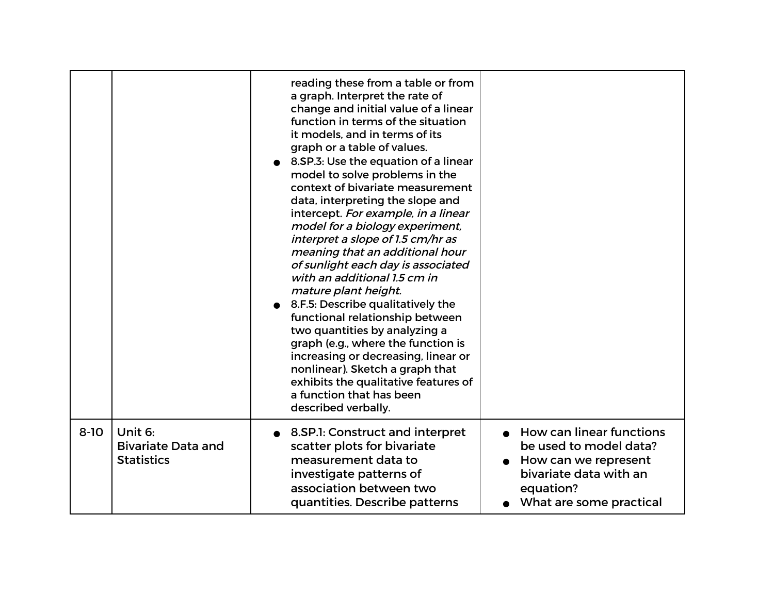|          |                                                           | reading these from a table or from<br>a graph. Interpret the rate of<br>change and initial value of a linear<br>function in terms of the situation<br>it models, and in terms of its<br>graph or a table of values.<br>8.SP.3: Use the equation of a linear<br>model to solve problems in the<br>context of bivariate measurement<br>data, interpreting the slope and<br>intercept. For example, in a linear<br>model for a biology experiment,<br>interpret a slope of 1.5 cm/hr as<br>meaning that an additional hour<br>of sunlight each day is associated<br>with an additional 1.5 cm in<br>mature plant height.<br>8.F.5: Describe qualitatively the<br>functional relationship between<br>two quantities by analyzing a<br>graph (e.g., where the function is<br>increasing or decreasing, linear or<br>nonlinear). Sketch a graph that<br>exhibits the qualitative features of<br>a function that has been<br>described verbally. |                                                                                                                                                     |
|----------|-----------------------------------------------------------|-------------------------------------------------------------------------------------------------------------------------------------------------------------------------------------------------------------------------------------------------------------------------------------------------------------------------------------------------------------------------------------------------------------------------------------------------------------------------------------------------------------------------------------------------------------------------------------------------------------------------------------------------------------------------------------------------------------------------------------------------------------------------------------------------------------------------------------------------------------------------------------------------------------------------------------------|-----------------------------------------------------------------------------------------------------------------------------------------------------|
| $8 - 10$ | Unit 6:<br><b>Bivariate Data and</b><br><b>Statistics</b> | 8.SP.1: Construct and interpret<br>scatter plots for bivariate<br>measurement data to<br>investigate patterns of<br>association between two<br>quantities. Describe patterns                                                                                                                                                                                                                                                                                                                                                                                                                                                                                                                                                                                                                                                                                                                                                              | <b>How can linear functions</b><br>be used to model data?<br>How can we represent<br>bivariate data with an<br>equation?<br>What are some practical |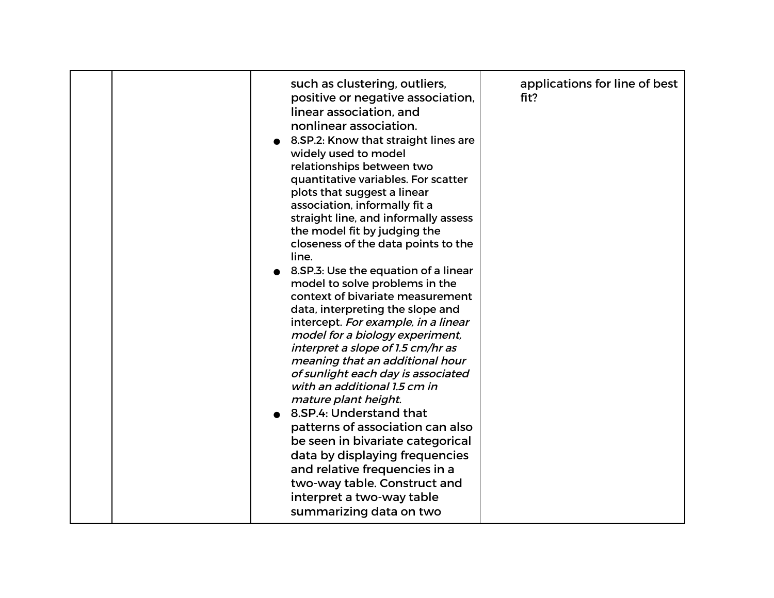| such as clustering, outliers,<br>positive or negative association,<br>linear association, and<br>nonlinear association.<br>8.SP.2: Know that straight lines are<br>widely used to model<br>relationships between two<br>quantitative variables. For scatter<br>plots that suggest a linear<br>association, informally fit a<br>straight line, and informally assess<br>the model fit by judging the<br>closeness of the data points to the<br>line.<br>8. SP. 3: Use the equation of a linear<br>model to solve problems in the<br>context of bivariate measurement<br>data, interpreting the slope and<br>intercept. For example, in a linear<br>model for a biology experiment,<br>interpret a slope of 1.5 cm/hr as<br>meaning that an additional hour<br>of sunlight each day is associated<br>with an additional 1.5 cm in<br>mature plant height.<br>8.SP.4: Understand that<br>patterns of association can also<br>be seen in bivariate categorical<br>data by displaying frequencies<br>and relative frequencies in a<br>two-way table. Construct and<br>interpret a two-way table<br>summarizing data on two | applications for line of best<br>fit? |
|-----------------------------------------------------------------------------------------------------------------------------------------------------------------------------------------------------------------------------------------------------------------------------------------------------------------------------------------------------------------------------------------------------------------------------------------------------------------------------------------------------------------------------------------------------------------------------------------------------------------------------------------------------------------------------------------------------------------------------------------------------------------------------------------------------------------------------------------------------------------------------------------------------------------------------------------------------------------------------------------------------------------------------------------------------------------------------------------------------------------------|---------------------------------------|
|-----------------------------------------------------------------------------------------------------------------------------------------------------------------------------------------------------------------------------------------------------------------------------------------------------------------------------------------------------------------------------------------------------------------------------------------------------------------------------------------------------------------------------------------------------------------------------------------------------------------------------------------------------------------------------------------------------------------------------------------------------------------------------------------------------------------------------------------------------------------------------------------------------------------------------------------------------------------------------------------------------------------------------------------------------------------------------------------------------------------------|---------------------------------------|